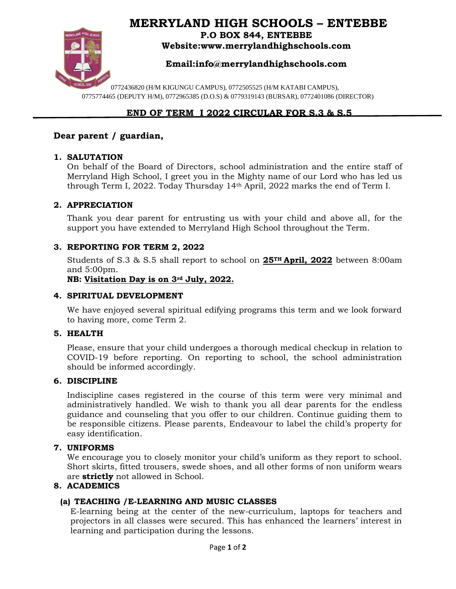# **MERRYLAND HIGH SCHOOLS – ENTEBBE**



**P.O BOX 844, ENTEBBE Website:www.merrylandhighschools.com**

# **Email:info@merrylandhighschools.com**

0772436820 (H/M KIGUNGU CAMPUS), 0772505525 (H/M KATABI CAMPUS), 0775774465 (DEPUTY H/M), 0772965385 (D.O.S) & 0779319143 (BURSAR), 0772401086 (DIRECTOR)

# **END OF TERM I 2022 CIRCULAR FOR S.3 & S.5**

# **Dear parent / guardian,**

### **1. SALUTATION**

On behalf of the Board of Directors, school administration and the entire staff of Merryland High School, I greet you in the Mighty name of our Lord who has led us through Term I, 2022. Today Thursday 14th April, 2022 marks the end of Term I.

### **2. APPRECIATION**

Thank you dear parent for entrusting us with your child and above all, for the support you have extended to Merryland High School throughout the Term.

## **3. REPORTING FOR TERM 2, 2022**

Students of S.3 & S.5 shall report to school on **25TH April, 2022** between 8:00am and 5:00pm.

**NB: Visitation Day is on 3rd July, 2022.**

#### **4. SPIRITUAL DEVELOPMENT**

We have enjoyed several spiritual edifying programs this term and we look forward to having more, come Term 2.

#### **5. HEALTH**

Please, ensure that your child undergoes a thorough medical checkup in relation to COVID-19 before reporting. On reporting to school, the school administration should be informed accordingly.

#### **6. DISCIPLINE**

Indiscipline cases registered in the course of this term were very minimal and administratively handled. We wish to thank you all dear parents for the endless guidance and counseling that you offer to our children. Continue guiding them to be responsible citizens. Please parents, Endeavour to label the child's property for easy identification.

#### **7. UNIFORMS**

We encourage you to closely monitor your child's uniform as they report to school. Short skirts, fitted trousers, swede shoes, and all other forms of non uniform wears are **strictly** not allowed in School.

## **8. ACADEMICS**

## **(a) TEACHING /E-LEARNING AND MUSIC CLASSES**

E-learning being at the center of the new-curriculum, laptops for teachers and projectors in all classes were secured. This has enhanced the learners' interest in learning and participation during the lessons.